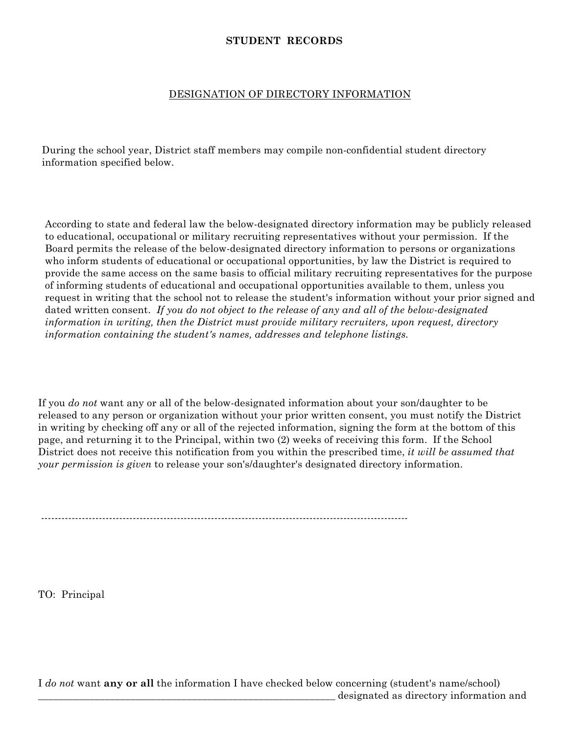## **STUDENT RECORDS**

## DESIGNATION OF DIRECTORY INFORMATION

During the school year, District staff members may compile non-confidential student directory information specified below.

According to state and federal law the below-designated directory information may be publicly released to educational, occupational or military recruiting representatives without your permission. If the Board permits the release of the below-designated directory information to persons or organizations who inform students of educational or occupational opportunities, by law the District is required to provide the same access on the same basis to official military recruiting representatives for the purpose of informing students of educational and occupational opportunities available to them, unless you request in writing that the school not to release the student's information without your prior signed and dated written consent. *If you do not object to the release of any and all of the below-designated information in writing, then the District must provide military recruiters, upon request, directory information containing the student's names, addresses and telephone listings.*

If you *do not* want any or all of the below-designated information about your son/daughter to be released to any person or organization without your prior written consent, you must notify the District in writing by checking off any or all of the rejected information, signing the form at the bottom of this page, and returning it to the Principal, within two (2) weeks of receiving this form. If the School District does not receive this notification from you within the prescribed time, *it will be assumed that your permission is given* to release your son's/daughter's designated directory information.

------------------------------------------------------------------------------------------------------------

TO: Principal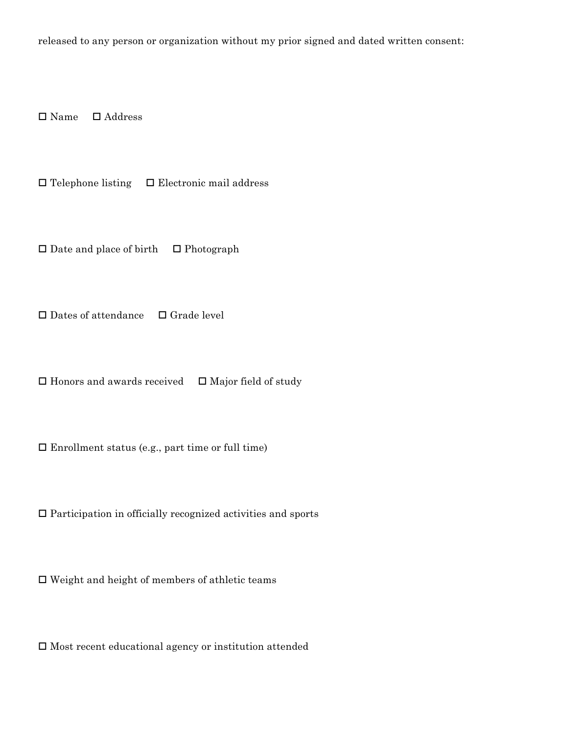released to any person or organization without my prior signed and dated written consent:

Name Address

 $\Box$  Telephone listing  $\Box$  Electronic mail address

 $\square$  Date and place of birth  $\square$  Photograph

 $\square$  Dates of attendance  $\square$  Grade level

 $\Box$  <br> Honors and awards received  $\quad \Box$  <br> Major field of study

 $\square$  Enrollment status (e.g., part time or full time)

 $\Box$  <br> Participation in officially recognized activities and sports

 $\Box$  <br> Weight and height of members of athletic teams

 $\Box$ <br> <br> Most recent educational agency or institution attended